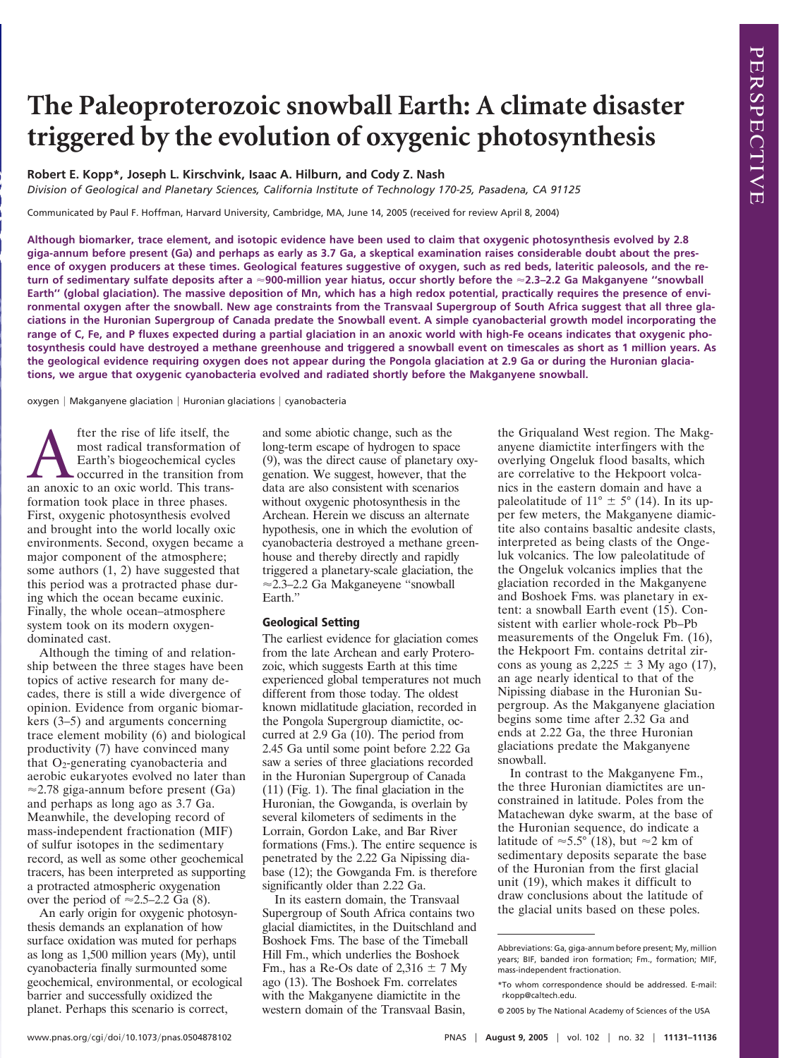# **The Paleoproterozoic snowball Earth: A climate disaster triggered by the evolution of oxygenic photosynthesis**

### **Robert E. Kopp\*, Joseph L. Kirschvink, Isaac A. Hilburn, and Cody Z. Nash**

*Division of Geological and Planetary Sciences, California Institute of Technology 170-25, Pasadena, CA 91125*

Communicated by Paul F. Hoffman, Harvard University, Cambridge, MA, June 14, 2005 (received for review April 8, 2004)

Although biomarker, trace element, and isotopic evidence have been used to claim that oxygenic photosynthesis evolved by 2.8 giga-annum before present (Ga) and perhaps as early as 3.7 Ga, a skeptical examination raises considerable doubt about the presence of oxygen producers at these times. Geological features suggestive of oxygen, such as red beds, lateritic paleosols, and the return of sedimentary sulfate deposits after a  $\approx$ 900-million year hiatus, occur shortly before the  $\approx$ 2.3-2.2 Ga Makganyene "snowball Earth" (global glaciation). The massive deposition of Mn, which has a high redox potential, practically requires the presence of environmental oxygen after the snowball. New age constraints from the Transvaal Supergroup of South Africa suggest that all three glaciations in the Huronian Supergroup of Canada predate the Snowball event. A simple cyanobacterial growth model incorporating the range of C, Fe, and P fluxes expected during a partial glaciation in an anoxic world with high-Fe oceans indicates that oxygenic photosynthesis could have destroyed a methane greenhouse and triggered a snowball event on timescales as short as 1 million years. As the geological evidence requiring oxygen does not appear during the Pongola glaciation at 2.9 Ga or during the Huronian glacia**tions, we argue that oxygenic cyanobacteria evolved and radiated shortly before the Makganyene snowball.**

oxygen | Makganyene glaciation | Huronian glaciations | cyanobacteria

**A** fter the rise of life itself, the most radical transformation c<br>Earth's biogeochemical cycles<br>occurred in the transition fro<br>an anoxic to an oxic world. This transmost radical transformation of Earth's biogeochemical cycles occurred in the transition from formation took place in three phases. First, oxygenic photosynthesis evolved and brought into the world locally oxic environments. Second, oxygen became a major component of the atmosphere; some authors (1, 2) have suggested that this period was a protracted phase during which the ocean became euxinic. Finally, the whole ocean–atmosphere system took on its modern oxygendominated cast.

Although the timing of and relationship between the three stages have been topics of active research for many decades, there is still a wide divergence of opinion. Evidence from organic biomarkers (3–5) and arguments concerning trace element mobility (6) and biological productivity (7) have convinced many that  $O_2$ -generating cyanobacteria and aerobic eukaryotes evolved no later than  $\approx$  2.78 giga-annum before present (Ga) and perhaps as long ago as 3.7 Ga. Meanwhile, the developing record of mass-independent fractionation (MIF) of sulfur isotopes in the sedimentary record, as well as some other geochemical tracers, has been interpreted as supporting a protracted atmospheric oxygenation over the period of  $\approx 2.5-2.2$  Ga (8).

An early origin for oxygenic photosynthesis demands an explanation of how surface oxidation was muted for perhaps as long as 1,500 million years (My), until cyanobacteria finally surmounted some geochemical, environmental, or ecological barrier and successfully oxidized the planet. Perhaps this scenario is correct,

and some abiotic change, such as the long-term escape of hydrogen to space (9), was the direct cause of planetary oxygenation. We suggest, however, that the data are also consistent with scenarios without oxygenic photosynthesis in the Archean. Herein we discuss an alternate hypothesis, one in which the evolution of cyanobacteria destroyed a methane greenhouse and thereby directly and rapidly triggered a planetary-scale glaciation, the  $\approx$ 2.3–2.2 Ga Makganeyene "snowball Earth.''

#### Geological Setting

The earliest evidence for glaciation comes from the late Archean and early Proterozoic, which suggests Earth at this time experienced global temperatures not much different from those today. The oldest known midlatitude glaciation, recorded in the Pongola Supergroup diamictite, occurred at 2.9 Ga (10). The period from 2.45 Ga until some point before 2.22 Ga saw a series of three glaciations recorded in the Huronian Supergroup of Canada (11) (Fig. 1). The final glaciation in the Huronian, the Gowganda, is overlain by several kilometers of sediments in the Lorrain, Gordon Lake, and Bar River formations (Fms.). The entire sequence is penetrated by the 2.22 Ga Nipissing diabase (12); the Gowganda Fm. is therefore significantly older than 2.22 Ga.

In its eastern domain, the Transvaal Supergroup of South Africa contains two glacial diamictites, in the Duitschland and Boshoek Fms. The base of the Timeball Hill Fm., which underlies the Boshoek Fm., has a Re-Os date of  $2,316 \pm 7$  My ago (13). The Boshoek Fm. correlates with the Makganyene diamictite in the western domain of the Transvaal Basin,

the Griqualand West region. The Makganyene diamictite interfingers with the overlying Ongeluk flood basalts, which are correlative to the Hekpoort volcanics in the eastern domain and have a paleolatitude of  $11^{\circ} \pm 5^{\circ}$  (14). In its upper few meters, the Makganyene diamictite also contains basaltic andesite clasts, interpreted as being clasts of the Ongeluk volcanics. The low paleolatitude of the Ongeluk volcanics implies that the glaciation recorded in the Makganyene and Boshoek Fms. was planetary in extent: a snowball Earth event (15). Consistent with earlier whole-rock Pb–Pb measurements of the Ongeluk Fm. (16), the Hekpoort Fm. contains detrital zircons as young as  $2,225 \pm 3$  My ago (17), an age nearly identical to that of the Nipissing diabase in the Huronian Supergroup. As the Makganyene glaciation begins some time after 2.32 Ga and ends at 2.22 Ga, the three Huronian glaciations predate the Makganyene snowball.

In contrast to the Makganyene Fm., the three Huronian diamictites are unconstrained in latitude. Poles from the Matachewan dyke swarm, at the base of the Huronian sequence, do indicate a latitude of  $\approx 5.5^{\circ}$  (18), but  $\approx 2$  km of sedimentary deposits separate the base of the Huronian from the first glacial unit (19), which makes it difficult to draw conclusions about the latitude of the glacial units based on these poles.

Abbreviations: Ga, giga-annum before present; My, million years; BIF, banded iron formation; Fm., formation; MIF, mass-independent fractionation.

<sup>\*</sup>To whom correspondence should be addressed. E-mail: rkopp@caltech.edu.

<sup>©</sup> 2005 by The National Academy of Sciences of the USA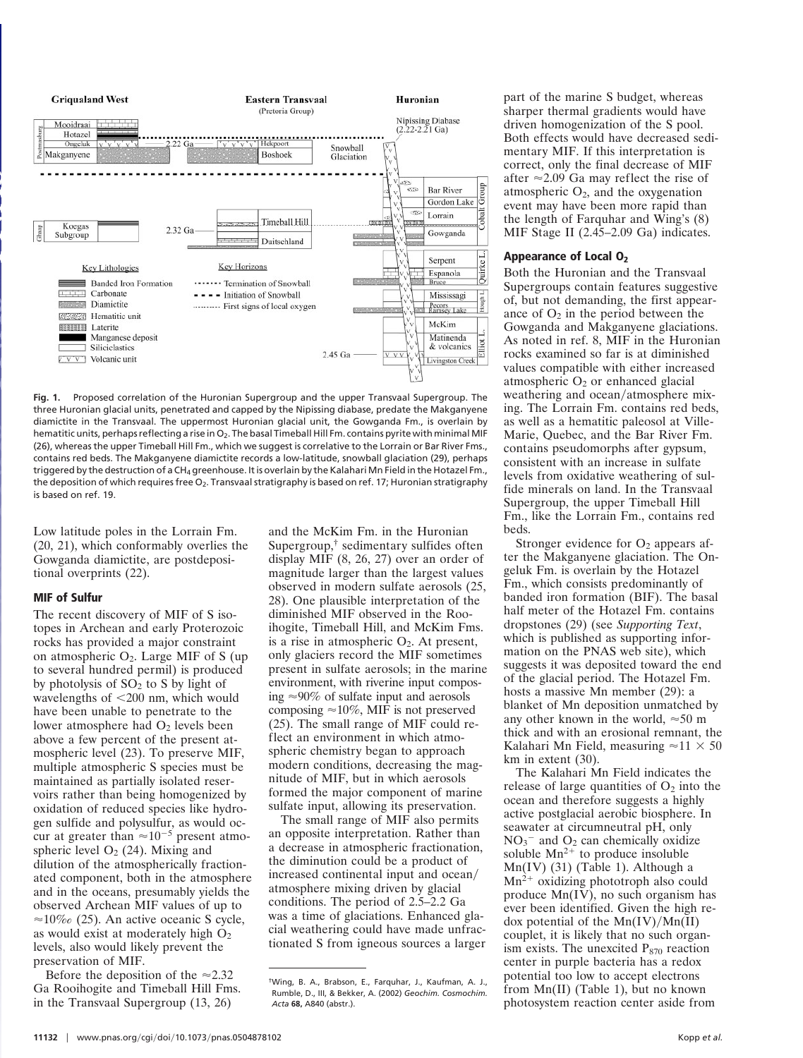

**Fig. 1.** Proposed correlation of the Huronian Supergroup and the upper Transvaal Supergroup. The three Huronian glacial units, penetrated and capped by the Nipissing diabase, predate the Makganyene diamictite in the Transvaal. The uppermost Huronian glacial unit, the Gowganda Fm., is overlain by hematitic units, perhaps reflecting a rise in O<sub>2</sub>. The basal Timeball Hill Fm. contains pyrite with minimal MIF (26), whereas the upper Timeball Hill Fm., which we suggest is correlative to the Lorrain or Bar River Fms., contains red beds. The Makganyene diamictite records a low-latitude, snowball glaciation (29), perhaps triggered by the destruction of a CH<sub>4</sub> greenhouse. It is overlain by the Kalahari Mn Field in the Hotazel Fm., the deposition of which requires free  $O_2$ . Transvaal stratigraphy is based on ref. 17; Huronian stratigraphy is based on ref. 19.

Low latitude poles in the Lorrain Fm. (20, 21), which conformably overlies the Gowganda diamictite, are postdepositional overprints (22).

#### MIF of Sulfur

The recent discovery of MIF of S isotopes in Archean and early Proterozoic rocks has provided a major constraint on atmospheric O2. Large MIF of S (up to several hundred permil) is produced by photolysis of  $SO<sub>2</sub>$  to S by light of wavelengths of  $<200$  nm, which would have been unable to penetrate to the lower atmosphere had O<sub>2</sub> levels been above a few percent of the present atmospheric level (23). To preserve MIF, multiple atmospheric S species must be maintained as partially isolated reservoirs rather than being homogenized by oxidation of reduced species like hydrogen sulfide and polysulfur, as would occur at greater than  $\approx 10^{-5}$  present atmospheric level  $O_2$  (24). Mixing and dilution of the atmospherically fractionated component, both in the atmosphere and in the oceans, presumably yields the observed Archean MIF values of up to  $\approx$ 10‰ (25). An active oceanic S cycle, as would exist at moderately high  $O<sub>2</sub>$ levels, also would likely prevent the preservation of MIF.

Before the deposition of the  $\approx 2.32$ Ga Rooihogite and Timeball Hill Fms. in the Transvaal Supergroup (13, 26)

and the McKim Fm. in the Huronian Supergroup, † sedimentary sulfides often display MIF (8, 26, 27) over an order of magnitude larger than the largest values observed in modern sulfate aerosols (25, 28). One plausible interpretation of the diminished MIF observed in the Rooihogite, Timeball Hill, and McKim Fms. is a rise in atmospheric  $O_2$ . At present, only glaciers record the MIF sometimes present in sulfate aerosols; in the marine environment, with riverine input composing  $\approx 90\%$  of sulfate input and aerosols composing  $\approx$  10%, MIF is not preserved (25). The small range of MIF could reflect an environment in which atmospheric chemistry began to approach modern conditions, decreasing the magnitude of MIF, but in which aerosols formed the major component of marine sulfate input, allowing its preservation.

The small range of MIF also permits an opposite interpretation. Rather than a decrease in atmospheric fractionation, the diminution could be a product of increased continental input and ocean/ atmosphere mixing driven by glacial conditions. The period of 2.5–2.2 Ga was a time of glaciations. Enhanced glacial weathering could have made unfractionated S from igneous sources a larger part of the marine S budget, whereas sharper thermal gradients would have driven homogenization of the S pool. Both effects would have decreased sedimentary MIF. If this interpretation is correct, only the final decrease of MIF after  $\approx$  2.09 Ga may reflect the rise of atmospheric  $O_2$ , and the oxygenation event may have been more rapid than the length of Farquhar and Wing's (8) MIF Stage II (2.45–2.09 Ga) indicates.

#### Appearance of Local O2

Both the Huronian and the Transvaal Supergroups contain features suggestive of, but not demanding, the first appearance of  $O<sub>2</sub>$  in the period between the Gowganda and Makganyene glaciations. As noted in ref. 8, MIF in the Huronian rocks examined so far is at diminished values compatible with either increased atmospheric  $O<sub>2</sub>$  or enhanced glacial weathering and ocean/atmosphere mixing. The Lorrain Fm. contains red beds, as well as a hematitic paleosol at Ville-Marie, Quebec, and the Bar River Fm. contains pseudomorphs after gypsum, consistent with an increase in sulfate levels from oxidative weathering of sulfide minerals on land. In the Transvaal Supergroup, the upper Timeball Hill Fm., like the Lorrain Fm., contains red beds.

Stronger evidence for  $O_2$  appears after the Makganyene glaciation. The Ongeluk Fm. is overlain by the Hotazel Fm., which consists predominantly of banded iron formation (BIF). The basal half meter of the Hotazel Fm. contains dropstones (29) (see *Supporting Text*, which is published as supporting information on the PNAS web site), which suggests it was deposited toward the end of the glacial period. The Hotazel Fm. hosts a massive Mn member (29): a blanket of Mn deposition unmatched by any other known in the world,  $\approx 50$  m thick and with an erosional remnant, the Kalahari Mn Field, measuring  $\approx$  11  $\times$  50 km in extent (30).

The Kalahari Mn Field indicates the release of large quantities of  $O<sub>2</sub>$  into the ocean and therefore suggests a highly active postglacial aerobic biosphere. In seawater at circumneutral pH, only  $NO<sub>3</sub><sup>-</sup>$  and  $O<sub>2</sub>$  can chemically oxidize soluble  $Mn^{2+}$  to produce insoluble Mn(IV) (31) (Table 1). Although a  $Mn^{2+}$  oxidizing phototroph also could produce Mn(IV), no such organism has ever been identified. Given the high redox potential of the  $Mn(IV)/Mn(II)$ couplet, it is likely that no such organism exists. The unexcited  $P_{870}$  reaction center in purple bacteria has a redox potential too low to accept electrons from Mn(II) (Table 1), but no known photosystem reaction center aside from

<sup>†</sup>Wing, B. A., Brabson, E., Farquhar, J., Kaufman, A. J., Rumble, D., III, & Bekker, A. (2002) *Geochim. Cosmochim. Acta* **68,** A840 (abstr.).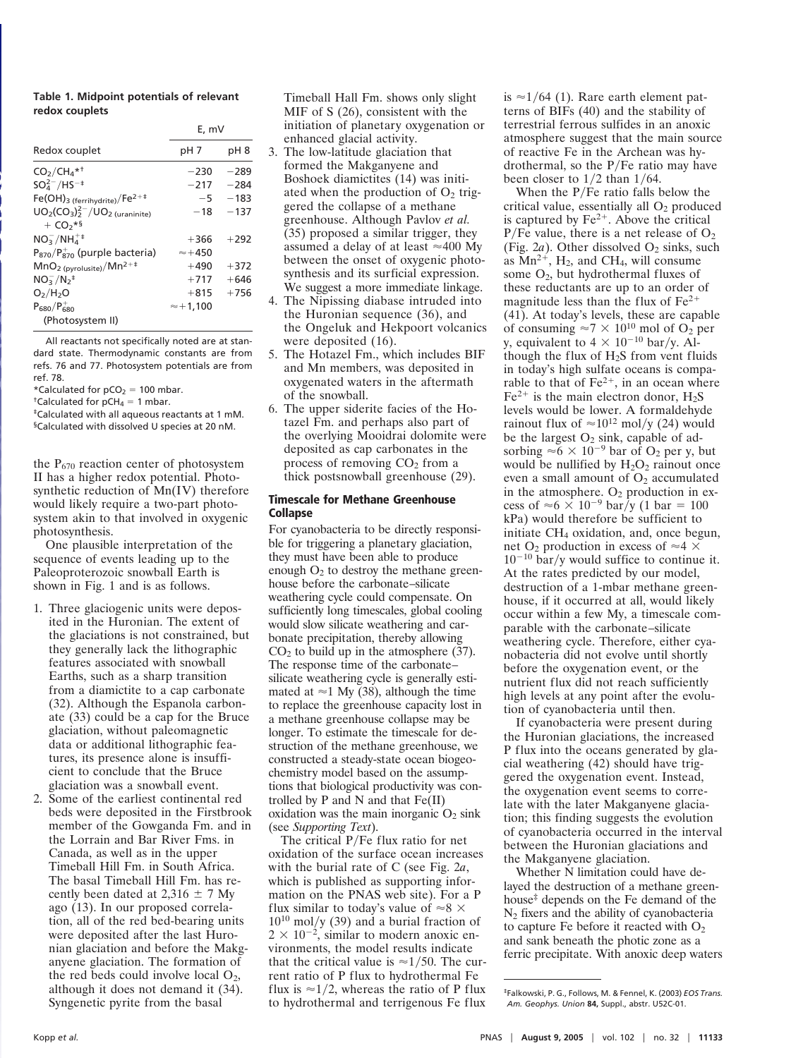#### **Table 1. Midpoint potentials of relevant redox couplets**

|                                                                | E, mV            |        |
|----------------------------------------------------------------|------------------|--------|
| Redox couplet                                                  | pH 7             | pH 8   |
| $CO_2$ /CH <sub>4</sub> * <sup>+</sup>                         | $-230$           | $-289$ |
| $SO_4^{2-}/HS^{-4}$                                            | $-217$           | $-284$ |
| $Fe(OH)$ <sub>3</sub> (ferrihydrite)/ $Fe^{2++}$               | $-5$             | $-183$ |
| $UO_2(CO_3)_2^{2-}/UO_2$ (uraninite)<br>+ $CO_2$ <sup>*§</sup> | $-18$            | $-137$ |
| $NO_3^-/NH_4^+$                                                | $+366$           | $+292$ |
| $P_{870}/P_{870}^{+}$ (purple bacteria)                        | $\approx +450$   |        |
| $MnO2$ (pyrolusite) / $Mn2++$                                  | $+490$           | $+372$ |
| $NO_{3}^{-}/N_{2}^{+}$                                         | $+717$           | $+646$ |
| $O_2/H_2O$                                                     | $+815$           | $+756$ |
| $P_{680}/P_{680}^{+}$<br>(Photosystem II)                      | $\approx +1.100$ |        |

All reactants not specifically noted are at standard state. Thermodynamic constants are from refs. 76 and 77. Photosystem potentials are from ref. 78.

\*Calculated for  $pCO<sub>2</sub> = 100$  mbar.

<sup>†</sup>Calculated for  $pCH_4 = 1$  mbar.

‡Calculated with all aqueous reactants at 1 mM. §Calculated with dissolved U species at 20 nM.

the  $P_{670}$  reaction center of photosystem II has a higher redox potential. Photosynthetic reduction of Mn(IV) therefore would likely require a two-part photosystem akin to that involved in oxygenic photosynthesis.

One plausible interpretation of the sequence of events leading up to the Paleoproterozoic snowball Earth is shown in Fig. 1 and is as follows.

- 1. Three glaciogenic units were deposited in the Huronian. The extent of the glaciations is not constrained, but they generally lack the lithographic features associated with snowball Earths, such as a sharp transition from a diamictite to a cap carbonate (32). Although the Espanola carbonate (33) could be a cap for the Bruce glaciation, without paleomagnetic data or additional lithographic features, its presence alone is insufficient to conclude that the Bruce glaciation was a snowball event.
- 2. Some of the earliest continental red beds were deposited in the Firstbrook member of the Gowganda Fm. and in the Lorrain and Bar River Fms. in Canada, as well as in the upper Timeball Hill Fm. in South Africa. The basal Timeball Hill Fm. has recently been dated at  $2,316 \pm 7$  My ago (13). In our proposed correlation, all of the red bed-bearing units were deposited after the last Huronian glaciation and before the Makganyene glaciation. The formation of the red beds could involve local  $O_2$ , although it does not demand it (34). Syngenetic pyrite from the basal

Timeball Hall Fm. shows only slight MIF of S (26), consistent with the initiation of planetary oxygenation or enhanced glacial activity. 3. The low-latitude glaciation that formed the Makganyene and Boshoek diamictites (14) was initiated when the production of  $O<sub>2</sub>$  triggered the collapse of a methane greenhouse. Although Pavlov *et al.* (35) proposed a similar trigger, they assumed a delay of at least  $\approx 400$  My between the onset of oxygenic photosynthesis and its surficial expression. We suggest a more immediate linkage. 4. The Nipissing diabase intruded into

- the Huronian sequence (36), and the Ongeluk and Hekpoort volcanics were deposited (16).
- 5. The Hotazel Fm., which includes BIF and Mn members, was deposited in oxygenated waters in the aftermath of the snowball.
- 6. The upper siderite facies of the Hotazel Fm. and perhaps also part of the overlying Mooidrai dolomite were deposited as cap carbonates in the process of removing CO<sub>2</sub> from a thick postsnowball greenhouse (29).

#### Timescale for Methane Greenhouse Collapse

For cyanobacteria to be directly responsible for triggering a planetary glaciation, they must have been able to produce enough  $O<sub>2</sub>$  to destroy the methane greenhouse before the carbonate–silicate weathering cycle could compensate. On sufficiently long timescales, global cooling would slow silicate weathering and carbonate precipitation, thereby allowing  $CO<sub>2</sub>$  to build up in the atmosphere (37). The response time of the carbonate– silicate weathering cycle is generally estimated at  $\approx$ 1 My (38), although the time to replace the greenhouse capacity lost in a methane greenhouse collapse may be longer. To estimate the timescale for destruction of the methane greenhouse, we constructed a steady-state ocean biogeochemistry model based on the assumptions that biological productivity was controlled by  $P$  and  $N$  and that  $Fe(II)$ oxidation was the main inorganic  $O_2$  sink (see *Supporting Text*).

The critical  $P/Fe$  flux ratio for net oxidation of the surface ocean increases with the burial rate of C (see Fig. 2*a*, which is published as supporting information on the PNAS web site). For a P flux similar to today's value of  $\approx 8 \times$  $10^{10}$  mol/y (39) and a burial fraction of  $2 \times 10^{-2}$ , similar to modern anoxic environments, the model results indicate that the critical value is  $\approx 1/50$ . The current ratio of P flux to hydrothermal Fe flux is  $\approx$ 1/2, whereas the ratio of P flux to hydrothermal and terrigenous Fe flux is  $\approx$ 1/64 (1). Rare earth element patterns of BIFs (40) and the stability of terrestrial ferrous sulfides in an anoxic atmosphere suggest that the main source of reactive Fe in the Archean was hydrothermal, so the  $P/Fe$  ratio may have been closer to  $1/2$  than  $1/64$ .

When the  $P/Fe$  ratio falls below the critical value, essentially all  $O<sub>2</sub>$  produced is captured by  $Fe<sup>2+</sup>$ . Above the critical  $P/Fe$  value, there is a net release of  $O<sub>2</sub>$ (Fig.  $2a$ ). Other dissolved  $O_2$  sinks, such as  $Mn^{2+}$ ,  $H_2$ , and CH<sub>4</sub>, will consume some  $O_2$ , but hydrothermal fluxes of these reductants are up to an order of magnitude less than the flux of  $Fe<sup>2+</sup>$ (41). At today's levels, these are capable of consuming  $\approx 7 \times 10^{10}$  mol of O<sub>2</sub> per y, equivalent to  $4 \times 10^{-10}$  bar/y. Although the flux of  $H_2S$  from vent fluids in today's high sulfate oceans is comparable to that of  $Fe^{2+}$ , in an ocean where  $Fe<sup>2+</sup>$  is the main electron donor,  $H<sub>2</sub>S$ levels would be lower. A formaldehyde rainout flux of  $\approx 10^{12}$  mol/y (24) would be the largest  $O_2$  sink, capable of adsorbing  $\approx 6 \times 10^{-9}$  bar of O<sub>2</sub> per y, but would be nullified by  $H_2O_2$  rainout once even a small amount of  $O_2$  accumulated in the atmosphere.  $O_2$  production in excess of  $\approx 6 \times 10^{-9}$  bar/y (1 bar = 100 kPa) would therefore be sufficient to initiate  $CH<sub>4</sub>$  oxidation, and, once begun, net O<sub>2</sub> production in excess of  $\approx 4 \times$  $10^{-10}$  bar/y would suffice to continue it. At the rates predicted by our model, destruction of a 1-mbar methane greenhouse, if it occurred at all, would likely occur within a few My, a timescale comparable with the carbonate–silicate weathering cycle. Therefore, either cyanobacteria did not evolve until shortly before the oxygenation event, or the nutrient flux did not reach sufficiently high levels at any point after the evolution of cyanobacteria until then.

If cyanobacteria were present during the Huronian glaciations, the increased P flux into the oceans generated by glacial weathering (42) should have triggered the oxygenation event. Instead, the oxygenation event seems to correlate with the later Makganyene glaciation; this finding suggests the evolution of cyanobacteria occurred in the interval between the Huronian glaciations and the Makganyene glaciation.

Whether N limitation could have delayed the destruction of a methane greenhouse‡ depends on the Fe demand of the N<sub>2</sub> fixers and the ability of cyanobacteria to capture Fe before it reacted with  $O_2$ and sank beneath the photic zone as a ferric precipitate. With anoxic deep waters

<sup>‡</sup>Falkowski, P. G., Follows, M. & Fennel, K. (2003) *EOS Trans. Am. Geophys. Union* **84,** Suppl., abstr. U52C-01.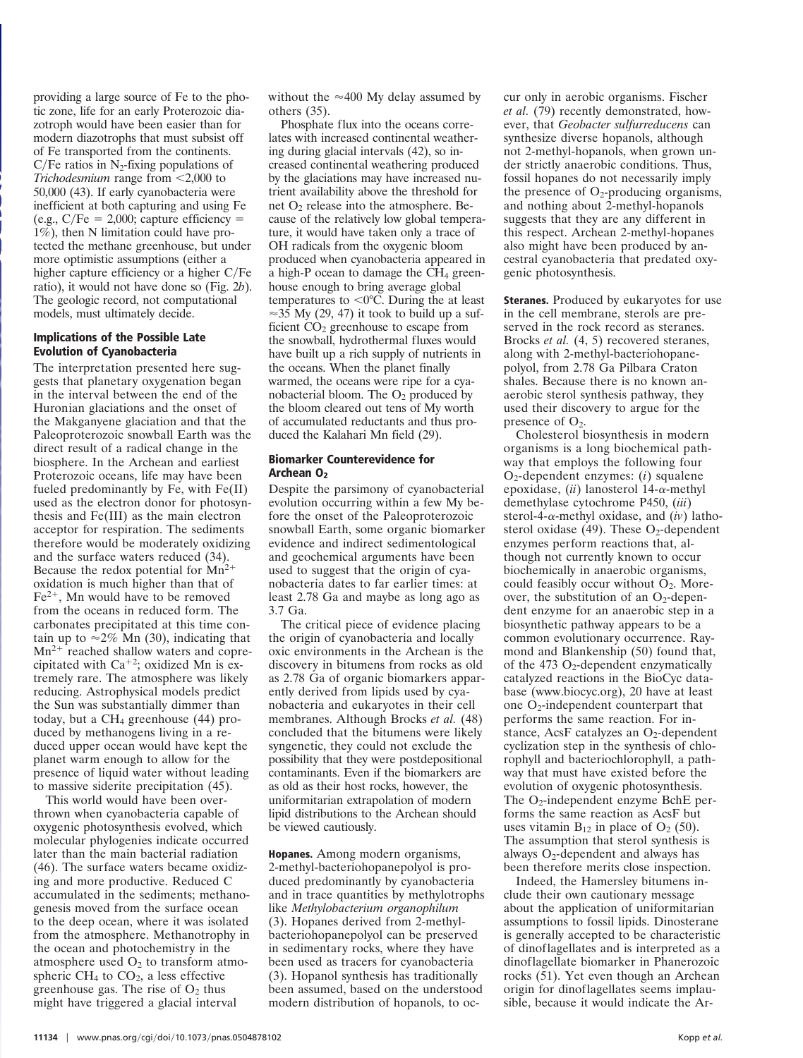providing a large source of Fe to the photic zone, life for an early Proterozoic diazotroph would have been easier than for modern diazotrophs that must subsist off of Fe transported from the continents.  $C/Fe$  ratios in N<sub>2</sub>-fixing populations of *Trichodesmium* range from  $\leq 2,000$  to 50,000 (43). If early cyanobacteria were inefficient at both capturing and using Fe (e.g.,  $C/Fe = 2,000$ ; capture efficiency = 1%), then N limitation could have protected the methane greenhouse, but under more optimistic assumptions (either a higher capture efficiency or a higher C/Fe ratio), it would not have done so (Fig. 2*b*). The geologic record, not computational models, must ultimately decide.

#### Implications of the Possible Late Evolution of Cyanobacteria

The interpretation presented here suggests that planetary oxygenation began in the interval between the end of the Huronian glaciations and the onset of the Makganyene glaciation and that the Paleoproterozoic snowball Earth was the direct result of a radical change in the biosphere. In the Archean and earliest Proterozoic oceans, life may have been fueled predominantly by Fe, with Fe(II) used as the electron donor for photosynthesis and Fe(III) as the main electron acceptor for respiration. The sediments therefore would be moderately oxidizing and the surface waters reduced (34). Because the redox potential for  $Mn^{2+}$ oxidation is much higher than that of  $Fe<sup>2+</sup>$ , Mn would have to be removed from the oceans in reduced form. The carbonates precipitated at this time contain up to  $\approx 2\%$  Mn (30), indicating that  $Mn^{2+}$  reached shallow waters and coprecipitated with  $Ca^{+2}$ ; oxidized Mn is extremely rare. The atmosphere was likely reducing. Astrophysical models predict the Sun was substantially dimmer than today, but a  $CH_4$  greenhouse (44) produced by methanogens living in a reduced upper ocean would have kept the planet warm enough to allow for the presence of liquid water without leading to massive siderite precipitation (45).

This world would have been overthrown when cyanobacteria capable of oxygenic photosynthesis evolved, which molecular phylogenies indicate occurred later than the main bacterial radiation (46). The surface waters became oxidizing and more productive. Reduced C accumulated in the sediments; methanogenesis moved from the surface ocean to the deep ocean, where it was isolated from the atmosphere. Methanotrophy in the ocean and photochemistry in the atmosphere used  $O<sub>2</sub>$  to transform atmospheric CH<sub>4</sub> to  $CO<sub>2</sub>$ , a less effective greenhouse gas. The rise of  $O_2$  thus might have triggered a glacial interval

without the  $\approx$ 400 My delay assumed by others (35).

Phosphate flux into the oceans correlates with increased continental weathering during glacial intervals (42), so increased continental weathering produced by the glaciations may have increased nutrient availability above the threshold for net  $O<sub>2</sub>$  release into the atmosphere. Because of the relatively low global temperature, it would have taken only a trace of OH radicals from the oxygenic bloom produced when cyanobacteria appeared in a high-P ocean to damage the  $CH<sub>4</sub>$  greenhouse enough to bring average global temperatures to  $\langle 0$ °C. During the at least  $\approx$ 35 My (29, 47) it took to build up a sufficient  $CO<sub>2</sub>$  greenhouse to escape from the snowball, hydrothermal fluxes would have built up a rich supply of nutrients in the oceans. When the planet finally warmed, the oceans were ripe for a cyanobacterial bloom. The  $O<sub>2</sub>$  produced by the bloom cleared out tens of My worth of accumulated reductants and thus produced the Kalahari Mn field (29).

#### Biomarker Counterevidence for Archean O<sub>2</sub>

Despite the parsimony of cyanobacterial evolution occurring within a few My before the onset of the Paleoproterozoic snowball Earth, some organic biomarker evidence and indirect sedimentological and geochemical arguments have been used to suggest that the origin of cyanobacteria dates to far earlier times: at least 2.78 Ga and maybe as long ago as 3.7 Ga.

The critical piece of evidence placing the origin of cyanobacteria and locally oxic environments in the Archean is the discovery in bitumens from rocks as old as 2.78 Ga of organic biomarkers apparently derived from lipids used by cyanobacteria and eukaryotes in their cell membranes. Although Brocks *et al.* (48) concluded that the bitumens were likely syngenetic, they could not exclude the possibility that they were postdepositional contaminants. Even if the biomarkers are as old as their host rocks, however, the uniformitarian extrapolation of modern lipid distributions to the Archean should be viewed cautiously.

Hopanes. Among modern organisms, 2-methyl-bacteriohopanepolyol is produced predominantly by cyanobacteria and in trace quantities by methylotrophs like *Methylobacterium organophilum* (3). Hopanes derived from 2-methylbacteriohopanepolyol can be preserved in sedimentary rocks, where they have been used as tracers for cyanobacteria (3). Hopanol synthesis has traditionally been assumed, based on the understood modern distribution of hopanols, to occur only in aerobic organisms. Fischer *et al.* (79) recently demonstrated, however, that *Geobacter sulfurreducens* can synthesize diverse hopanols, although not 2-methyl-hopanols, when grown under strictly anaerobic conditions. Thus, fossil hopanes do not necessarily imply the presence of  $O_2$ -producing organisms, and nothing about 2-methyl-hopanols suggests that they are any different in this respect. Archean 2-methyl-hopanes also might have been produced by ancestral cyanobacteria that predated oxygenic photosynthesis.

Steranes. Produced by eukaryotes for use in the cell membrane, sterols are preserved in the rock record as steranes. Brocks *et al.* (4, 5) recovered steranes, along with 2-methyl-bacteriohopanepolyol, from 2.78 Ga Pilbara Craton shales. Because there is no known anaerobic sterol synthesis pathway, they used their discovery to argue for the presence of  $O<sub>2</sub>$ .

Cholesterol biosynthesis in modern organisms is a long biochemical pathway that employs the following four O2-dependent enzymes: (*i*) squalene epoxidase, *(ii)* lanosterol  $14-\alpha$ -methyl demethylase cytochrome P450, (*iii*) sterol-4- $\alpha$ -methyl oxidase, and *(iv)* lathosterol oxidase  $(49)$ . These O<sub>2</sub>-dependent enzymes perform reactions that, although not currently known to occur biochemically in anaerobic organisms, could feasibly occur without  $O_2$ . Moreover, the substitution of an  $O_2$ -dependent enzyme for an anaerobic step in a biosynthetic pathway appears to be a common evolutionary occurrence. Raymond and Blankenship (50) found that, of the 473  $O_2$ -dependent enzymatically catalyzed reactions in the BioCyc database (www.biocyc.org), 20 have at least one  $O_2$ -independent counterpart that performs the same reaction. For instance, AcsF catalyzes an  $O<sub>2</sub>$ -dependent cyclization step in the synthesis of chlorophyll and bacteriochlorophyll, a pathway that must have existed before the evolution of oxygenic photosynthesis. The O<sub>2</sub>-independent enzyme BchE performs the same reaction as AcsF but uses vitamin  $B_{12}$  in place of  $O_2$  (50). The assumption that sterol synthesis is always O2-dependent and always has been therefore merits close inspection.

Indeed, the Hamersley bitumens include their own cautionary message about the application of uniformitarian assumptions to fossil lipids. Dinosterane is generally accepted to be characteristic of dinoflagellates and is interpreted as a dinoflagellate biomarker in Phanerozoic rocks (51). Yet even though an Archean origin for dinoflagellates seems implausible, because it would indicate the Ar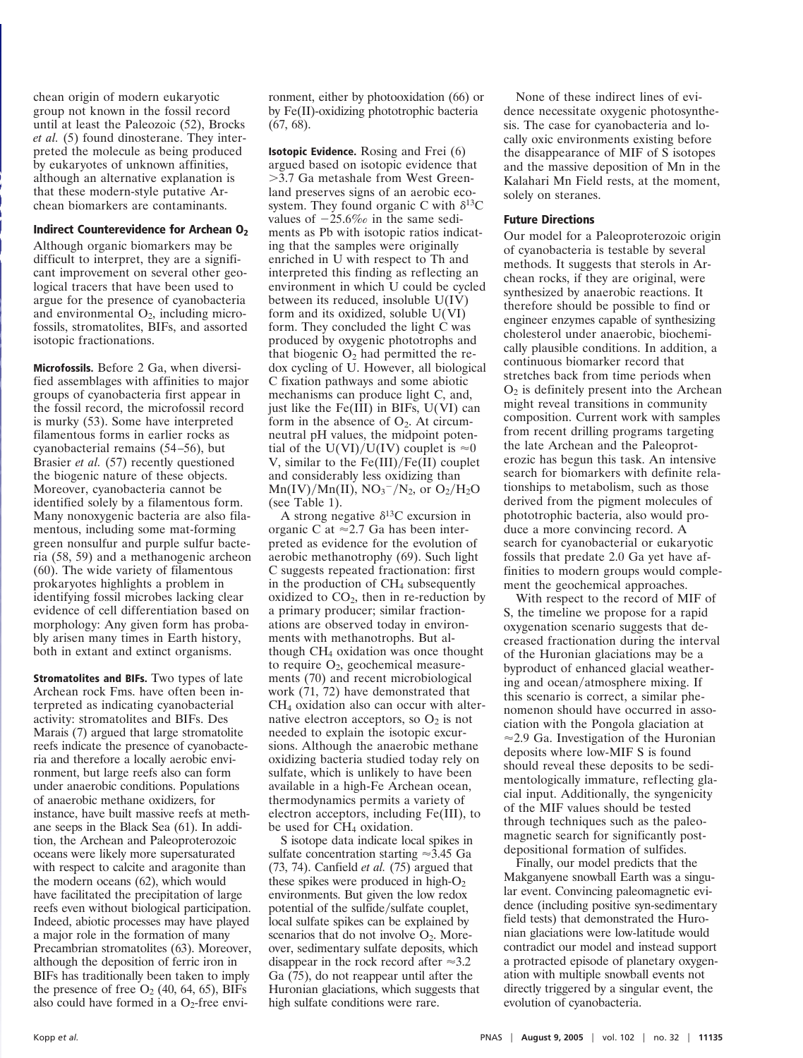chean origin of modern eukaryotic group not known in the fossil record until at least the Paleozoic (52), Brocks *et al.* (5) found dinosterane. They interpreted the molecule as being produced by eukaryotes of unknown affinities, although an alternative explanation is that these modern-style putative Archean biomarkers are contaminants.

#### Indirect Counterevidence for Archean  $O<sub>2</sub>$

Although organic biomarkers may be difficult to interpret, they are a significant improvement on several other geological tracers that have been used to argue for the presence of cyanobacteria and environmental  $O<sub>2</sub>$ , including microfossils, stromatolites, BIFs, and assorted isotopic fractionations.

Microfossils. Before 2 Ga, when diversified assemblages with affinities to major groups of cyanobacteria first appear in the fossil record, the microfossil record is murky (53). Some have interpreted filamentous forms in earlier rocks as cyanobacterial remains (54–56), but Brasier *et al.* (57) recently questioned the biogenic nature of these objects. Moreover, cyanobacteria cannot be identified solely by a filamentous form. Many nonoxygenic bacteria are also filamentous, including some mat-forming green nonsulfur and purple sulfur bacteria (58, 59) and a methanogenic archeon (60). The wide variety of filamentous prokaryotes highlights a problem in identifying fossil microbes lacking clear evidence of cell differentiation based on morphology: Any given form has probably arisen many times in Earth history, both in extant and extinct organisms.

Stromatolites and BIFs. Two types of late Archean rock Fms. have often been interpreted as indicating cyanobacterial activity: stromatolites and BIFs. Des Marais (7) argued that large stromatolite reefs indicate the presence of cyanobacteria and therefore a locally aerobic environment, but large reefs also can form under anaerobic conditions. Populations of anaerobic methane oxidizers, for instance, have built massive reefs at methane seeps in the Black Sea (61). In addition, the Archean and Paleoproterozoic oceans were likely more supersaturated with respect to calcite and aragonite than the modern oceans (62), which would have facilitated the precipitation of large reefs even without biological participation. Indeed, abiotic processes may have played a major role in the formation of many Precambrian stromatolites (63). Moreover, although the deposition of ferric iron in BIFs has traditionally been taken to imply the presence of free  $O_2$  (40, 64, 65), BIFs also could have formed in a  $O_2$ -free environment, either by photooxidation (66) or by Fe(II)-oxidizing phototrophic bacteria (67, 68).

Isotopic Evidence. Rosing and Frei (6) argued based on isotopic evidence that  $>3.7$  Ga metashale from West Greenland preserves signs of an aerobic ecosystem. They found organic C with  $\delta^{13}C$ values of  $-25.6\%$  in the same sediments as Pb with isotopic ratios indicating that the samples were originally enriched in U with respect to Th and interpreted this finding as reflecting an environment in which U could be cycled between its reduced, insoluble U(IV) form and its oxidized, soluble U(VI) form. They concluded the light C was produced by oxygenic phototrophs and that biogenic  $O_2$  had permitted the redox cycling of U. However, all biological C fixation pathways and some abiotic mechanisms can produce light C, and, just like the  $Fe(III)$  in BIFs,  $U(VI)$  can form in the absence of  $O<sub>2</sub>$ . At circumneutral pH values, the midpoint potential of the U(VI)/U(IV) couplet is  $\approx 0$ V, similar to the  $Fe(III)/Fe(II)$  couplet and considerably less oxidizing than  $Mn(IV)/Mn(II)$ ,  $NO<sub>3</sub><sup>-</sup>/N<sub>2</sub>$ , or  $O<sub>2</sub>/H<sub>2</sub>O$ (see Table 1).

A strong negative  $\delta^{13}$ C excursion in organic C at  $\approx$  2.7 Ga has been interpreted as evidence for the evolution of aerobic methanotrophy (69). Such light C suggests repeated fractionation: first in the production of CH<sub>4</sub> subsequently oxidized to  $CO<sub>2</sub>$ , then in re-reduction by a primary producer; similar fractionations are observed today in environments with methanotrophs. But although CH4 oxidation was once thought to require  $O_2$ , geochemical measurements (70) and recent microbiological work (71, 72) have demonstrated that CH4 oxidation also can occur with alternative electron acceptors, so  $O_2$  is not needed to explain the isotopic excursions. Although the anaerobic methane oxidizing bacteria studied today rely on sulfate, which is unlikely to have been available in a high-Fe Archean ocean, thermodynamics permits a variety of electron acceptors, including Fe(III), to be used for  $CH<sub>4</sub>$  oxidation.

S isotope data indicate local spikes in sulfate concentration starting  $\approx$ 3.45 Ga (73, 74). Canfield *et al.* (75) argued that these spikes were produced in high- $O<sub>2</sub>$ environments. But given the low redox potential of the sulfide/sulfate couplet, local sulfate spikes can be explained by scenarios that do not involve  $O_2$ . Moreover, sedimentary sulfate deposits, which disappear in the rock record after  $\approx 3.2$ Ga (75), do not reappear until after the Huronian glaciations, which suggests that high sulfate conditions were rare.

None of these indirect lines of evidence necessitate oxygenic photosynthesis. The case for cyanobacteria and locally oxic environments existing before the disappearance of MIF of S isotopes and the massive deposition of Mn in the Kalahari Mn Field rests, at the moment, solely on steranes.

#### Future Directions

Our model for a Paleoproterozoic origin of cyanobacteria is testable by several methods. It suggests that sterols in Archean rocks, if they are original, were synthesized by anaerobic reactions. It therefore should be possible to find or engineer enzymes capable of synthesizing cholesterol under anaerobic, biochemically plausible conditions. In addition, a continuous biomarker record that stretches back from time periods when  $O<sub>2</sub>$  is definitely present into the Archean might reveal transitions in community composition. Current work with samples from recent drilling programs targeting the late Archean and the Paleoproterozic has begun this task. An intensive search for biomarkers with definite relationships to metabolism, such as those derived from the pigment molecules of phototrophic bacteria, also would produce a more convincing record. A search for cyanobacterial or eukaryotic fossils that predate 2.0 Ga yet have affinities to modern groups would complement the geochemical approaches.

With respect to the record of MIF of S, the timeline we propose for a rapid oxygenation scenario suggests that decreased fractionation during the interval of the Huronian glaciations may be a byproduct of enhanced glacial weathering and ocean/atmosphere mixing. If this scenario is correct, a similar phenomenon should have occurred in association with the Pongola glaciation at  $\approx$  2.9 Ga. Investigation of the Huronian deposits where low-MIF S is found should reveal these deposits to be sedimentologically immature, reflecting glacial input. Additionally, the syngenicity of the MIF values should be tested through techniques such as the paleomagnetic search for significantly postdepositional formation of sulfides.

Finally, our model predicts that the Makganyene snowball Earth was a singular event. Convincing paleomagnetic evidence (including positive syn-sedimentary field tests) that demonstrated the Huronian glaciations were low-latitude would contradict our model and instead support a protracted episode of planetary oxygenation with multiple snowball events not directly triggered by a singular event, the evolution of cyanobacteria.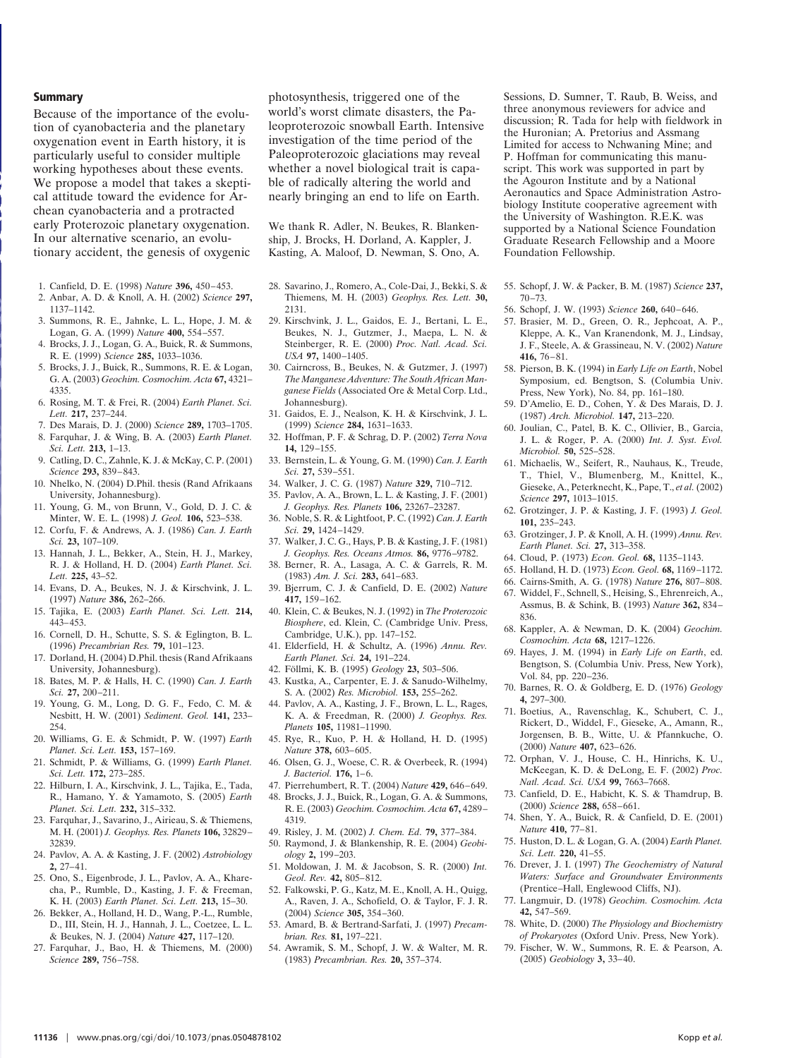#### Summary

Because of the importance of the evolution of cyanobacteria and the planetary oxygenation event in Earth history, it is particularly useful to consider multiple working hypotheses about these events. We propose a model that takes a skeptical attitude toward the evidence for Archean cyanobacteria and a protracted early Proterozoic planetary oxygenation. In our alternative scenario, an evolutionary accident, the genesis of oxygenic

- 1. Canfield, D. E. (1998) *Nature* **396,** 450–453.
- 2. Anbar, A. D. & Knoll, A. H. (2002) *Science* **297,** 1137–1142.
- 3. Summons, R. E., Jahnke, L. L., Hope, J. M. & Logan, G. A. (1999) *Nature* **400,** 554–557.
- 4. Brocks, J. J., Logan, G. A., Buick, R. & Summons, R. E. (1999) *Science* **285,** 1033–1036.
- 5. Brocks, J. J., Buick, R., Summons, R. E. & Logan, G. A. (2003) *Geochim. Cosmochim. Acta* **67,** 4321– 4335.
- 6. Rosing, M. T. & Frei, R. (2004) *Earth Planet. Sci. Lett.* **217,** 237–244.
- 7. Des Marais, D. J. (2000) *Science* **289,** 1703–1705.
- 8. Farquhar, J. & Wing, B. A. (2003) *Earth Planet. Sci. Lett.* **213,** 1–13.
- 9. Catling, D. C., Zahnle, K. J. & McKay, C. P. (2001) *Science* **293,** 839–843.
- 10. Nhelko, N. (2004) D.Phil. thesis (Rand Afrikaans University, Johannesburg).
- 11. Young, G. M., von Brunn, V., Gold, D. J. C. & Minter, W. E. L. (1998) *J. Geol.* **106,** 523–538.
- 12. Corfu, F. & Andrews, A. J. (1986) *Can. J. Earth Sci.* **23,** 107–109.
- 13. Hannah, J. L., Bekker, A., Stein, H. J., Markey, R. J. & Holland, H. D. (2004) *Earth Planet. Sci. Lett.* **225,** 43–52.
- 14. Evans, D. A., Beukes, N. J. & Kirschvink, J. L. (1997) *Nature* **386,** 262–266.
- 15. Tajika, E. (2003) *Earth Planet. Sci. Lett.* **214,** 443–453.
- 16. Cornell, D. H., Schutte, S. S. & Eglington, B. L. (1996) *Precambrian Res.* **79,** 101–123.
- 17. Dorland, H. (2004) D.Phil. thesis (Rand Afrikaans University, Johannesburg).
- 18. Bates, M. P. & Halls, H. C. (1990) *Can. J. Earth Sci.* **27,** 200–211.
- 19. Young, G. M., Long, D. G. F., Fedo, C. M. & Nesbitt, H. W. (2001) *Sediment. Geol.* **141,** 233– 254.
- 20. Williams, G. E. & Schmidt, P. W. (1997) *Earth Planet. Sci. Lett.* **153,** 157–169.
- 21. Schmidt, P. & Williams, G. (1999) *Earth Planet. Sci. Lett.* **172,** 273–285.
- 22. Hilburn, I. A., Kirschvink, J. L., Tajika, E., Tada, R., Hamano, Y. & Yamamoto, S. (2005) *Earth Planet. Sci. Lett.* **232,** 315–332.
- 23. Farquhar, J., Savarino, J., Airieau, S. & Thiemens, M. H. (2001) *J. Geophys. Res. Planets* **106,** 32829– 32839.
- 24. Pavlov, A. A. & Kasting, J. F. (2002) *Astrobiology* **2,** 27–41.
- 25. Ono, S., Eigenbrode, J. L., Pavlov, A. A., Kharecha, P., Rumble, D., Kasting, J. F. & Freeman, K. H. (2003) *Earth Planet. Sci. Lett.* **213,** 15–30.
- 26. Bekker, A., Holland, H. D., Wang, P.-L., Rumble, D., III, Stein, H. J., Hannah, J. L., Coetzee, L. L. & Beukes, N. J. (2004) *Nature* **427,** 117–120.
- 27. Farquhar, J., Bao, H. & Thiemens, M. (2000) *Science* **289,** 756–758.

photosynthesis, triggered one of the world's worst climate disasters, the Paleoproterozoic snowball Earth. Intensive investigation of the time period of the Paleoproterozoic glaciations may reveal whether a novel biological trait is capable of radically altering the world and nearly bringing an end to life on Earth.

We thank R. Adler, N. Beukes, R. Blankenship, J. Brocks, H. Dorland, A. Kappler, J. Kasting, A. Maloof, D. Newman, S. Ono, A.

- 28. Savarino, J., Romero, A., Cole-Dai, J., Bekki, S. & Thiemens, M. H. (2003) *Geophys. Res. Lett.* **30,** 2131.
- 29. Kirschvink, J. L., Gaidos, E. J., Bertani, L. E., Beukes, N. J., Gutzmer, J., Maepa, L. N. & Steinberger, R. E. (2000) *Proc. Natl. Acad. Sci. USA* **97,** 1400–1405.
- 30. Cairncross, B., Beukes, N. & Gutzmer, J. (1997) *The Manganese Adventure: The South African Manganese Fields* (Associated Ore & Metal Corp. Ltd., Johannesburg).
- 31. Gaidos, E. J., Nealson, K. H. & Kirschvink, J. L. (1999) *Science* **284,** 1631–1633.
- 32. Hoffman, P. F. & Schrag, D. P. (2002) *Terra Nova* **14,** 129–155.
- 33. Bernstein, L. & Young, G. M. (1990) *Can. J. Earth Sci.* **27,** 539–551.
- 34. Walker, J. C. G. (1987) *Nature* **329,** 710–712. 35. Pavlov, A. A., Brown, L. L. & Kasting, J. F. (2001)
- *J. Geophys. Res. Planets* **106,** 23267–23287. 36. Noble, S. R. & Lightfoot, P. C. (1992) *Can. J. Earth Sci.* **29,** 1424–1429.
- 37. Walker, J. C. G., Hays, P. B. & Kasting, J. F. (1981) *J. Geophys. Res. Oceans Atmos.* **86,** 9776–9782.
- 38. Berner, R. A., Lasaga, A. C. & Garrels, R. M. (1983) *Am. J. Sci.* **283,** 641–683.
- 39. Bjerrum, C. J. & Canfield, D. E. (2002) *Nature* **417,** 159–162.
- 40. Klein, C. & Beukes, N. J. (1992) in *The Proterozoic Biosphere*, ed. Klein, C. (Cambridge Univ. Press, Cambridge, U.K.), pp. 147–152.
- 41. Elderfield, H. & Schultz, A. (1996) *Annu. Rev. Earth Planet. Sci.* **24,** 191–224.
- 42. Fo¨llmi, K. B. (1995) *Geology* **23,** 503–506.
- 43. Kustka, A., Carpenter, E. J. & Sanudo-Wilhelmy, S. A. (2002) *Res. Microbiol.* **153,** 255–262.
- 44. Pavlov, A. A., Kasting, J. F., Brown, L. L., Rages, K. A. & Freedman, R. (2000) *J. Geophys. Res. Planets* **105,** 11981–11990.
- 45. Rye, R., Kuo, P. H. & Holland, H. D. (1995) *Nature* **378,** 603–605.
- 46. Olsen, G. J., Woese, C. R. & Overbeek, R. (1994) *J. Bacteriol.* **176,** 1–6.
- 47. Pierrehumbert, R. T. (2004) *Nature* **429,** 646–649.
- 48. Brocks, J. J., Buick, R., Logan, G. A. & Summons, R. E. (2003) *Geochim. Cosmochim. Acta* **67,** 4289– 4319.
- 49. Risley, J. M. (2002) *J. Chem. Ed.* **79,** 377–384.
- 50. Raymond, J. & Blankenship, R. E. (2004) *Geobiology* **2,** 199–203.
- 51. Moldowan, J. M. & Jacobson, S. R. (2000) *Int. Geol. Rev.* **42,** 805–812.
- 52. Falkowski, P. G., Katz, M. E., Knoll, A. H., Quigg, A., Raven, J. A., Schofield, O. & Taylor, F. J. R. (2004) *Science* **305,** 354–360.
- 53. Amard, B. & Bertrand-Sarfati, J. (1997) *Precambrian. Res.* **81,** 197–221.
- 54. Awramik, S. M., Schopf, J. W. & Walter, M. R. (1983) *Precambrian. Res.* **20,** 357–374.

Sessions, D. Sumner, T. Raub, B. Weiss, and three anonymous reviewers for advice and discussion; R. Tada for help with fieldwork in the Huronian; A. Pretorius and Assmang Limited for access to Nchwaning Mine; and P. Hoffman for communicating this manuscript. This work was supported in part by the Agouron Institute and by a National Aeronautics and Space Administration Astrobiology Institute cooperative agreement with the University of Washington. R.E.K. was supported by a National Science Foundation Graduate Research Fellowship and a Moore Foundation Fellowship.

- 55. Schopf, J. W. & Packer, B. M. (1987) *Science* **237,** 70–73.
- 56. Schopf, J. W. (1993) *Science* **260,** 640–646.
- 57. Brasier, M. D., Green, O. R., Jephcoat, A. P., Kleppe, A. K., Van Kranendonk, M. J., Lindsay, J. F., Steele, A. & Grassineau, N. V. (2002) *Nature* **416,** 76–81.
- 58. Pierson, B. K. (1994) in *Early Life on Earth*, Nobel Symposium, ed. Bengtson, S. (Columbia Univ. Press, New York), No. 84, pp. 161–180.
- 59. D'Amelio, E. D., Cohen, Y. & Des Marais, D. J. (1987) *Arch. Microbiol.* **147,** 213–220.
- 60. Joulian, C., Patel, B. K. C., Ollivier, B., Garcia, J. L. & Roger, P. A. (2000) *Int. J. Syst. Evol. Microbiol.* **50,** 525–528.
- 61. Michaelis, W., Seifert, R., Nauhaus, K., Treude, T., Thiel, V., Blumenberg, M., Knittel, K., Gieseke, A., Peterknecht, K., Pape, T., *et al.*(2002) *Science* **297,** 1013–1015.
- 62. Grotzinger, J. P. & Kasting, J. F. (1993) *J. Geol.* **101,** 235–243.
- 63. Grotzinger, J. P. & Knoll, A. H. (1999) *Annu. Rev. Earth Planet. Sci.* **27,** 313–358.
- 64. Cloud, P. (1973) *Econ. Geol.* **68,** 1135–1143.
- 65. Holland, H. D. (1973) *Econ. Geol.* **68,** 1169–1172.
- 66. Cairns-Smith, A. G. (1978) *Nature* **276,** 807–808.
- 67. Widdel, F., Schnell, S., Heising, S., Ehrenreich, A., Assmus, B. & Schink, B. (1993) *Nature* **362,** 834– 836.
- 68. Kappler, A. & Newman, D. K. (2004) *Geochim. Cosmochim. Acta* **68,** 1217–1226.
- 69. Hayes, J. M. (1994) in *Early Life on Earth*, ed. Bengtson, S. (Columbia Univ. Press, New York), Vol. 84, pp. 220–236.
- 70. Barnes, R. O. & Goldberg, E. D. (1976) *Geology* **4,** 297–300.
- 71. Boetius, A., Ravenschlag, K., Schubert, C. J., Rickert, D., Widdel, F., Gieseke, A., Amann, R., Jorgensen, B. B., Witte, U. & Pfannkuche, O. (2000) *Nature* **407,** 623–626.
- 72. Orphan, V. J., House, C. H., Hinrichs, K. U., McKeegan, K. D. & DeLong, E. F. (2002) *Proc. Natl. Acad. Sci. USA* **99,** 7663–7668.
- 73. Canfield, D. E., Habicht, K. S. & Thamdrup, B. (2000) *Science* **288,** 658–661.
- 74. Shen, Y. A., Buick, R. & Canfield, D. E. (2001) *Nature* **410,** 77–81.
- 75. Huston, D. L. & Logan, G. A. (2004) *Earth Planet. Sci. Lett.* **220,** 41–55.
- 76. Drever, J. I. (1997) *The Geochemistry of Natural Waters: Surface and Groundwater Environments* (Prentice–Hall, Englewood Cliffs, NJ).
- 77. Langmuir, D. (1978) *Geochim. Cosmochim. Acta* **42,** 547–569.
- 78. White, D. (2000) *The Physiology and Biochemistry of Prokaryotes* (Oxford Univ. Press, New York).
- 79. Fischer, W. W., Summons, R. E. & Pearson, A. (2005) *Geobiology* **3,** 33–40.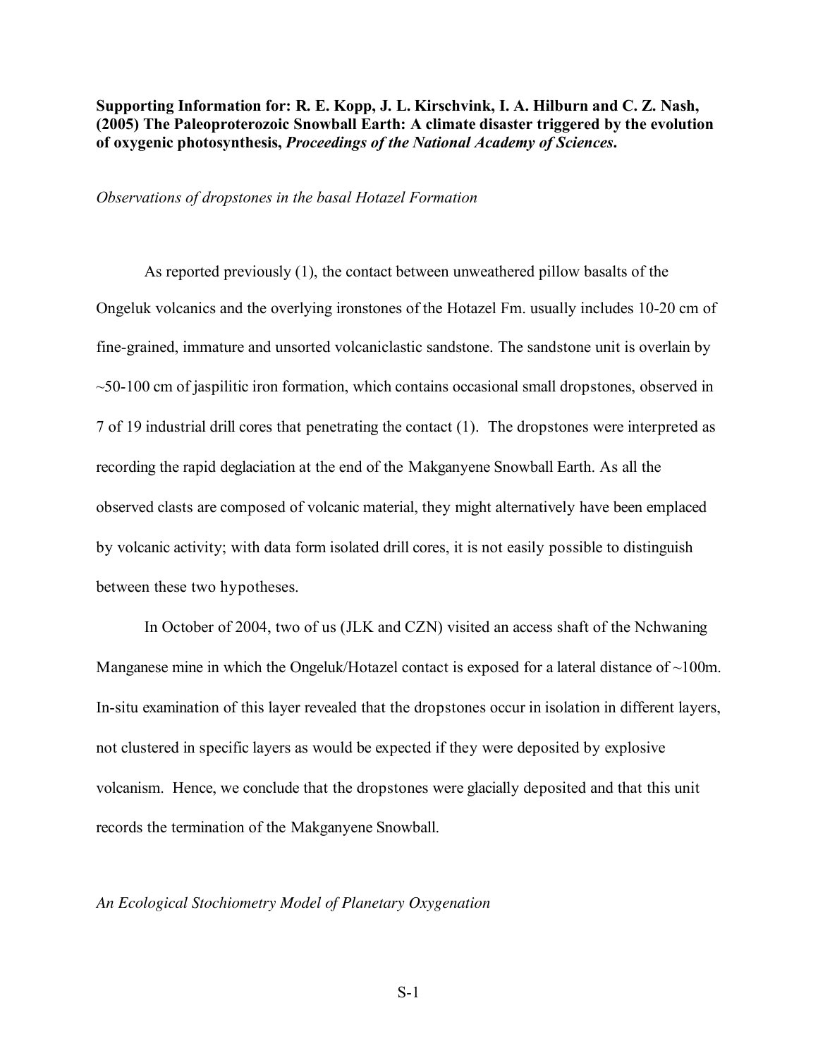**Supporting Information for: R. E. Kopp, J. L. Kirschvink, I. A. Hilburn and C. Z. Nash, (2005) The Paleoproterozoic Snowball Earth: A climate disaster triggered by the evolution of oxygenic photosynthesis,** *Proceedings of the National Academy of Sciences***.**

*Observations of dropstones in the basal Hotazel Formation*

As reported previously (1), the contact between unweathered pillow basalts of the Ongeluk volcanics and the overlying ironstones of the Hotazel Fm. usually includes 10-20 cm of fine-grained, immature and unsorted volcaniclastic sandstone. The sandstone unit is overlain by  $\sim$ 50-100 cm of jaspilitic iron formation, which contains occasional small dropstones, observed in 7 of 19 industrial drill cores that penetrating the contact (1). The dropstones were interpreted as recording the rapid deglaciation at the end of the Makganyene Snowball Earth. As all the observed clasts are composed of volcanic material, they might alternatively have been emplaced by volcanic activity; with data form isolated drill cores, it is not easily possible to distinguish between these two hypotheses.

In October of 2004, two of us (JLK and CZN) visited an access shaft of the Nchwaning Manganese mine in which the Ongeluk/Hotazel contact is exposed for a lateral distance of  $\sim$ 100m. In-situ examination of this layer revealed that the dropstones occur in isolation in different layers, not clustered in specific layers as would be expected if they were deposited by explosive volcanism. Hence, we conclude that the dropstones were glacially deposited and that this unit records the termination of the Makganyene Snowball.

# *An Ecological Stochiometry Model of Planetary Oxygenation*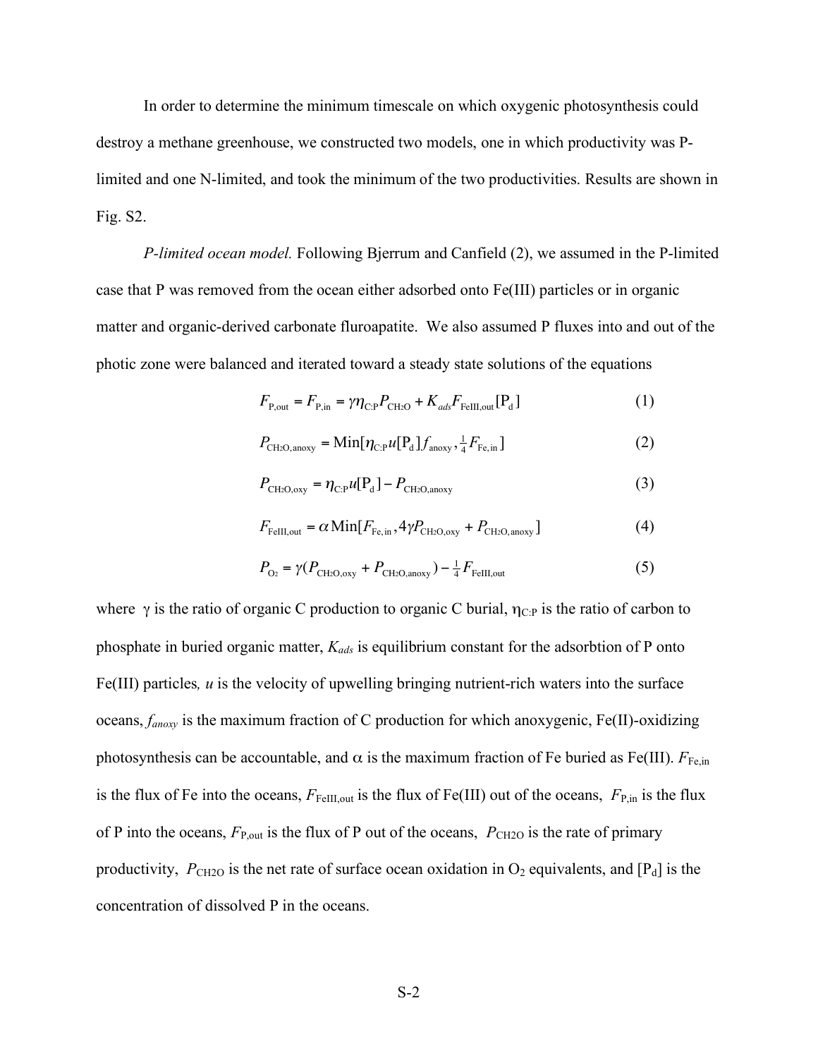In order to determine the minimum timescale on which oxygenic photosynthesis could destroy a methane greenhouse, we constructed two models, one in which productivity was Plimited and one N-limited, and took the minimum of the two productivities. Results are shown in Fig. S2.

*P-limited ocean model.* Following Bjerrum and Canfield (2), we assumed in the P-limited case that P was removed from the ocean either adsorbed onto Fe(III) particles or in organic matter and organic-derived carbonate fluroapatite. We also assumed P fluxes into and out of the photic zone were balanced and iterated toward a steady state solutions of the equations

$$
F_{\text{P,out}} = F_{\text{P,in}} = \gamma \eta_{\text{C:P}} P_{\text{CH2O}} + K_{ads} F_{\text{FeIII,out}} [\text{P}_{\text{d}}] \tag{1}
$$

$$
P_{\text{CH2O,anoxy}} = \text{Min}[\eta_{\text{C,P}}u[\text{P}_{\text{d}}]f_{\text{anoxy}}, \frac{1}{4}F_{\text{Fe,in}}]
$$
(2)

$$
P_{\text{CH2O,oxy}} = \eta_{\text{C:P}} u[\text{P}_{\text{d}}] - P_{\text{CH2O,anoxy}} \tag{3}
$$

$$
F_{\text{FeIII,out}} = \alpha \operatorname{Min}[F_{\text{Fe,in}}, 4\gamma P_{\text{CH2O,oxy}} + P_{\text{CH2O,anoxy}}] \tag{4}
$$

$$
P_{\text{O}_2} = \gamma (P_{\text{CH}_2\text{O}, \text{oxy}} + P_{\text{CH}_2\text{O}, \text{anoxy}}) - \frac{1}{4} F_{\text{FeIII}, \text{out}}
$$
(5)

where  $\gamma$  is the ratio of organic C production to organic C burial,  $\eta_{C:P}$  is the ratio of carbon to phosphate in buried organic matter,  $K_{ads}$  is equilibrium constant for the adsorbtion of P onto Fe(III) particles*, u* is the velocity of upwelling bringing nutrient-rich waters into the surface oceans, *fanoxy* is the maximum fraction of C production for which anoxygenic, Fe(II)-oxidizing photosynthesis can be accountable, and  $\alpha$  is the maximum fraction of Fe buried as Fe(III).  $F_{\text{Fe,in}}$ is the flux of Fe into the oceans,  $F_{\text{FeIII,out}}$  is the flux of Fe(III) out of the oceans,  $F_{\text{P,in}}$  is the flux of P into the oceans,  $F_{P, \text{out}}$  is the flux of P out of the oceans,  $P_{\text{CH2O}}$  is the rate of primary productivity,  $P_{\text{CH2O}}$  is the net rate of surface ocean oxidation in  $O_2$  equivalents, and  $[P_d]$  is the concentration of dissolved P in the oceans.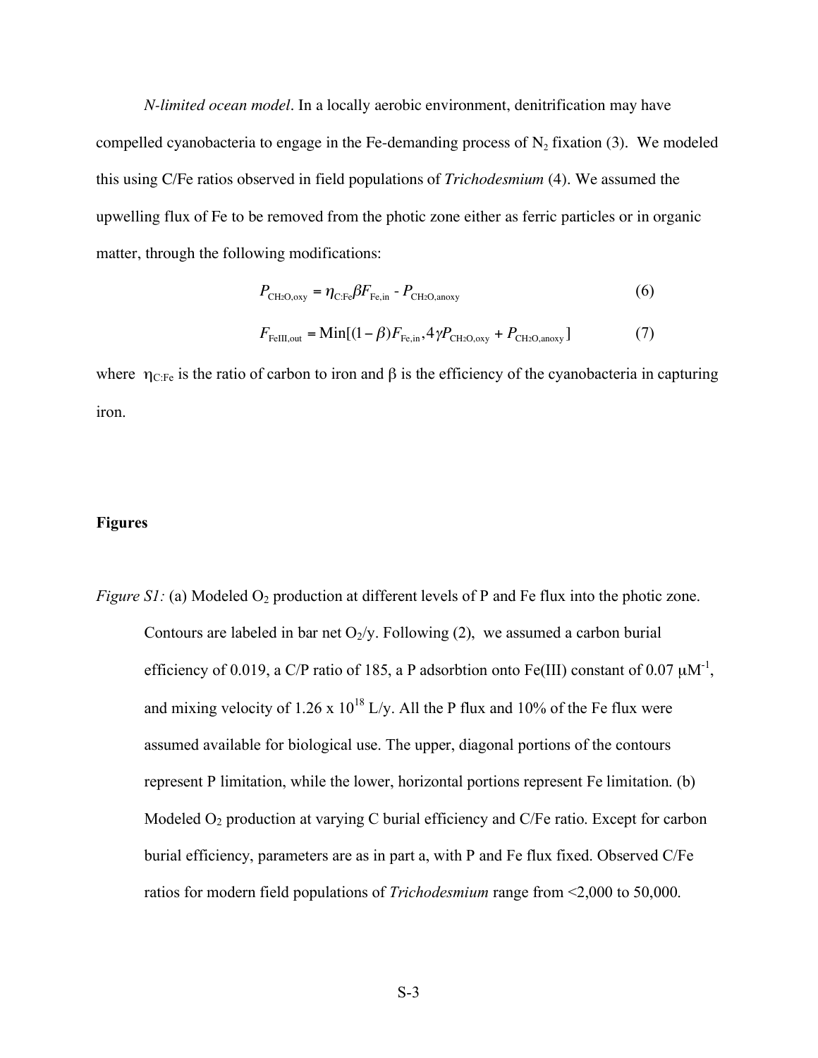*N-limited ocean model.* In a locally aerobic environment, denitrification may have compelled cyanobacteria to engage in the Fe-demanding process of  $N_2$  fixation (3). We modeled this using C/Fe ratios observed in field populations of *Trichodesmium* (4). We assumed the upwelling flux of Fe to be removed from the photic zone either as ferric particles or in organic matter, through the following modifications:

$$
P_{\text{CH2O,oxy}} = \eta_{\text{C:Fe}} \beta F_{\text{Fe,in}} - P_{\text{CH2O,anoxy}} \tag{6}
$$
  

$$
F_{\text{FeIII,out}} = \text{Min}[(1 - \beta)F_{\text{Fe,in}} \mathcal{A}\gamma P_{\text{CH2O,oxy}} + P_{\text{CH2O,anoxy}}] \tag{7}
$$

where  $\eta_{\text{C:Fe}}$  is the ratio of carbon to iron and  $\beta$  is the efficiency of the cyanobacteria in capturing iron.

## **Figures**

*Figure S1*: (a) Modeled O<sub>2</sub> production at different levels of P and Fe flux into the photic zone. Contours are labeled in bar net  $O_2$ /y. Following (2), we assumed a carbon burial efficiency of 0.019, a C/P ratio of 185, a P adsorbtion onto Fe(III) constant of 0.07  $\mu$ M<sup>-1</sup>, and mixing velocity of 1.26 x  $10^{18}$  L/y. All the P flux and 10% of the Fe flux were assumed available for biological use. The upper, diagonal portions of the contours represent P limitation, while the lower, horizontal portions represent Fe limitation. (b) Modeled  $O_2$  production at varying C burial efficiency and C/Fe ratio. Except for carbon burial efficiency, parameters are as in part a, with P and Fe flux fixed. Observed C/Fe ratios for modern field populations of *Trichodesmium* range from <2,000 to 50,000.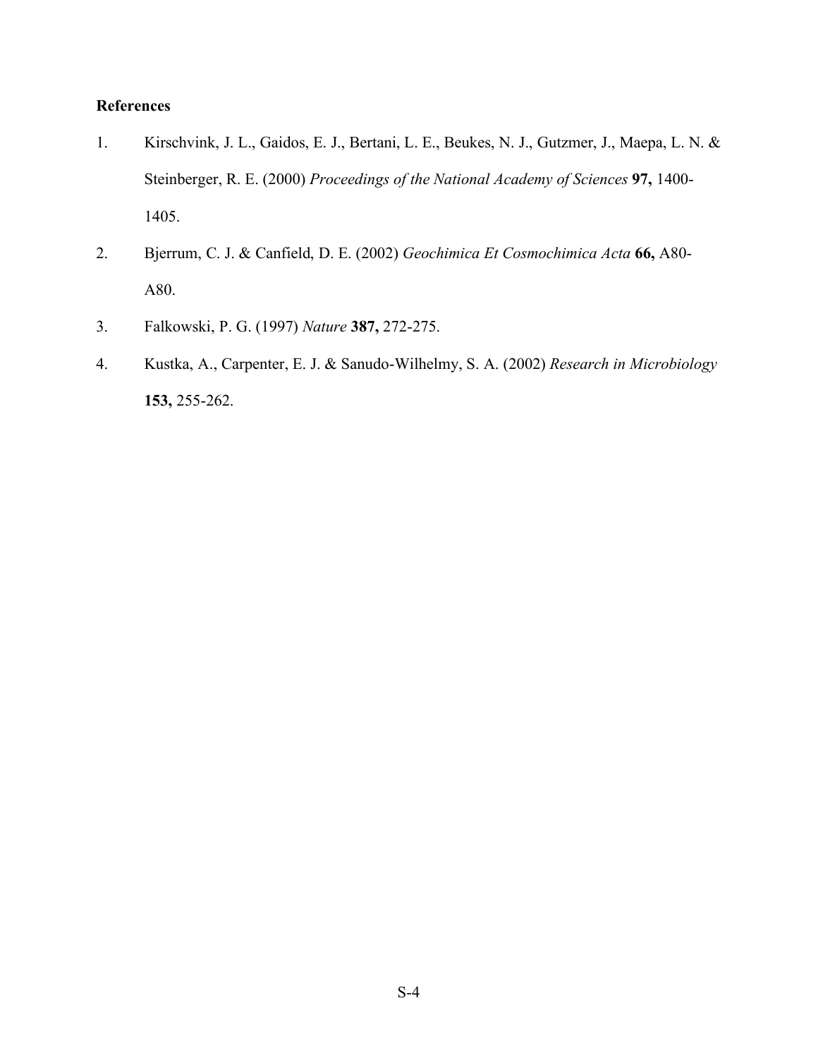# **References**

- 1. Kirschvink, J. L., Gaidos, E. J., Bertani, L. E., Beukes, N. J., Gutzmer, J., Maepa, L. N. & Steinberger, R. E. (2000) *Proceedings of the National Academy of Sciences* **97,** 1400- 1405.
- 2. Bjerrum, C. J. & Canfield, D. E. (2002) *Geochimica Et Cosmochimica Acta* **66,** A80- A80.
- 3. Falkowski, P. G. (1997) *Nature* **387,** 272-275.
- 4. Kustka, A., Carpenter, E. J. & Sanudo-Wilhelmy, S. A. (2002) *Research in Microbiology* **153,** 255-262.